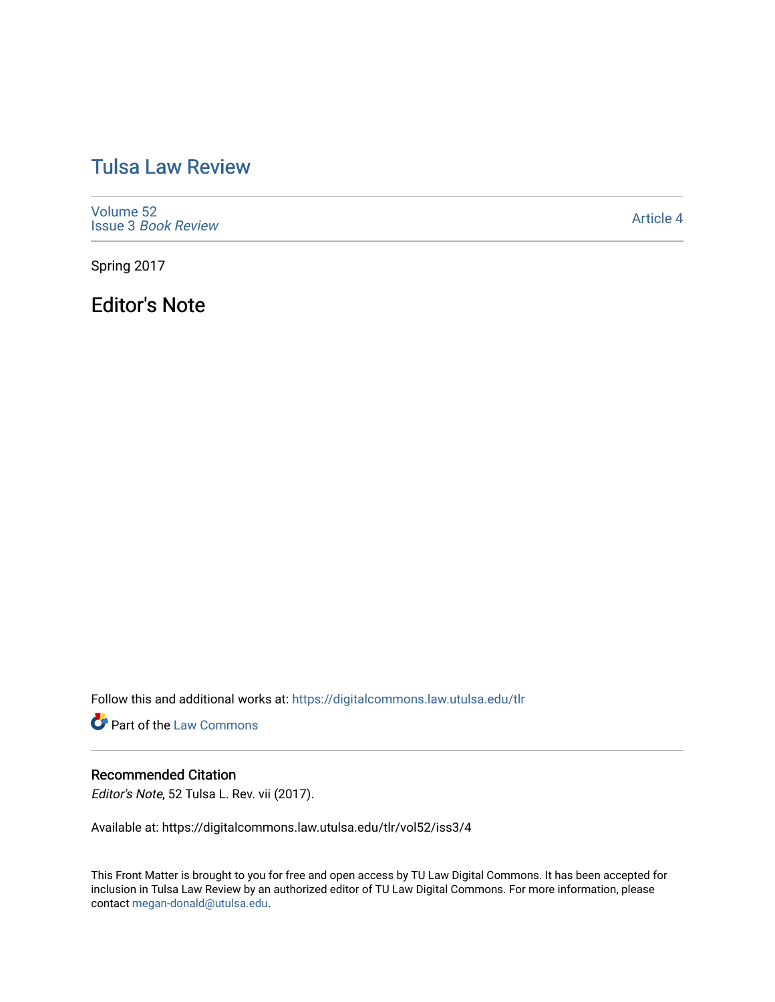## [Tulsa Law Review](https://digitalcommons.law.utulsa.edu/tlr)

[Volume 52](https://digitalcommons.law.utulsa.edu/tlr/vol52) Issue 3 [Book Review](https://digitalcommons.law.utulsa.edu/tlr/vol52/iss3)

[Article 4](https://digitalcommons.law.utulsa.edu/tlr/vol52/iss3/4) 

Spring 2017

Editor's Note

Follow this and additional works at: [https://digitalcommons.law.utulsa.edu/tlr](https://digitalcommons.law.utulsa.edu/tlr?utm_source=digitalcommons.law.utulsa.edu%2Ftlr%2Fvol52%2Fiss3%2F4&utm_medium=PDF&utm_campaign=PDFCoverPages) 

**Part of the [Law Commons](http://network.bepress.com/hgg/discipline/578?utm_source=digitalcommons.law.utulsa.edu%2Ftlr%2Fvol52%2Fiss3%2F4&utm_medium=PDF&utm_campaign=PDFCoverPages)** 

## Recommended Citation

Editor's Note, 52 Tulsa L. Rev. vii (2017).

Available at: https://digitalcommons.law.utulsa.edu/tlr/vol52/iss3/4

This Front Matter is brought to you for free and open access by TU Law Digital Commons. It has been accepted for inclusion in Tulsa Law Review by an authorized editor of TU Law Digital Commons. For more information, please contact [megan-donald@utulsa.edu.](mailto:megan-donald@utulsa.edu)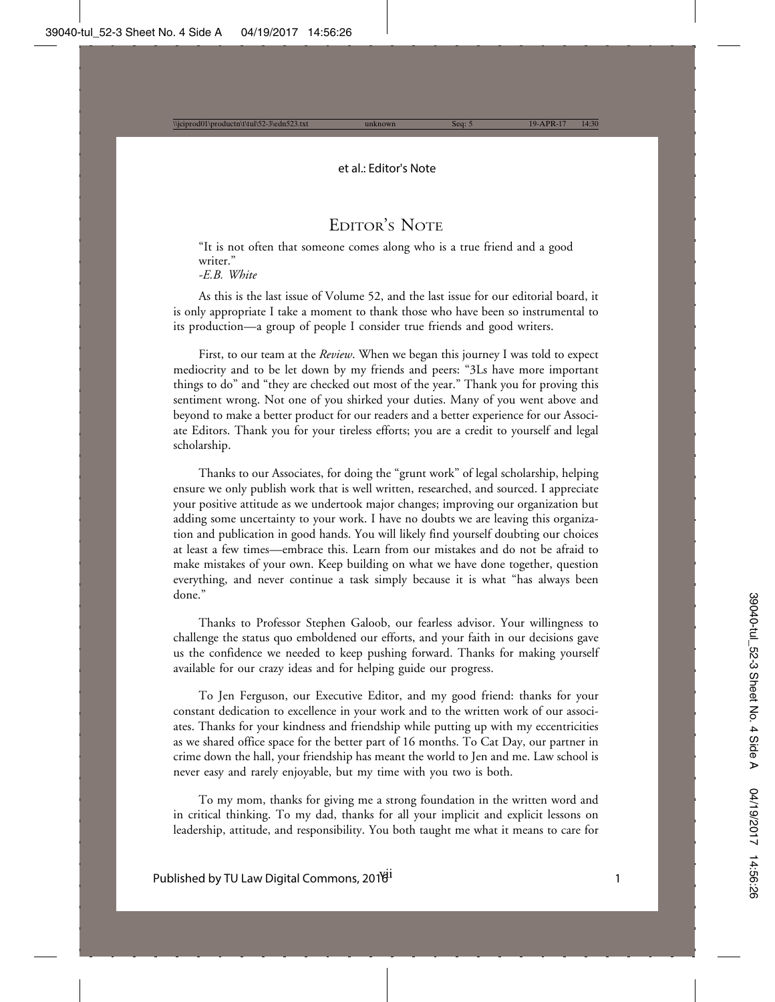## EDITOR'S NOTE

"It is not often that someone comes along who is a true friend and a good writer."

*-E.B. White*

As this is the last issue of Volume 52, and the last issue for our editorial board, it is only appropriate I take a moment to thank those who have been so instrumental to its production—a group of people I consider true friends and good writers.

First, to our team at the *Review*. When we began this journey I was told to expect mediocrity and to be let down by my friends and peers: "3Ls have more important things to do" and "they are checked out most of the year." Thank you for proving this sentiment wrong. Not one of you shirked your duties. Many of you went above and beyond to make a better product for our readers and a better experience for our Associate Editors. Thank you for your tireless efforts; you are a credit to yourself and legal scholarship.

Thanks to our Associates, for doing the "grunt work" of legal scholarship, helping ensure we only publish work that is well written, researched, and sourced. I appreciate your positive attitude as we undertook major changes; improving our organization but adding some uncertainty to your work. I have no doubts we are leaving this organization and publication in good hands. You will likely find yourself doubting our choices at least a few times—embrace this. Learn from our mistakes and do not be afraid to make mistakes of your own. Keep building on what we have done together, question everything, and never continue a task simply because it is what "has always been done."

Thanks to Professor Stephen Galoob, our fearless advisor. Your willingness to challenge the status quo emboldened our efforts, and your faith in our decisions gave us the confidence we needed to keep pushing forward. Thanks for making yourself available for our crazy ideas and for helping guide our progress.

To Jen Ferguson, our Executive Editor, and my good friend: thanks for your constant dedication to excellence in your work and to the written work of our associates. Thanks for your kindness and friendship while putting up with my eccentricities as we shared office space for the better part of 16 months. To Cat Day, our partner in crime down the hall, your friendship has meant the world to Jen and me. Law school is never easy and rarely enjoyable, but my time with you two is both.

To my mom, thanks for giving me a strong foundation in the written word and in critical thinking. To my dad, thanks for all your implicit and explicit lessons on leadership, attitude, and responsibility. You both taught me what it means to care for